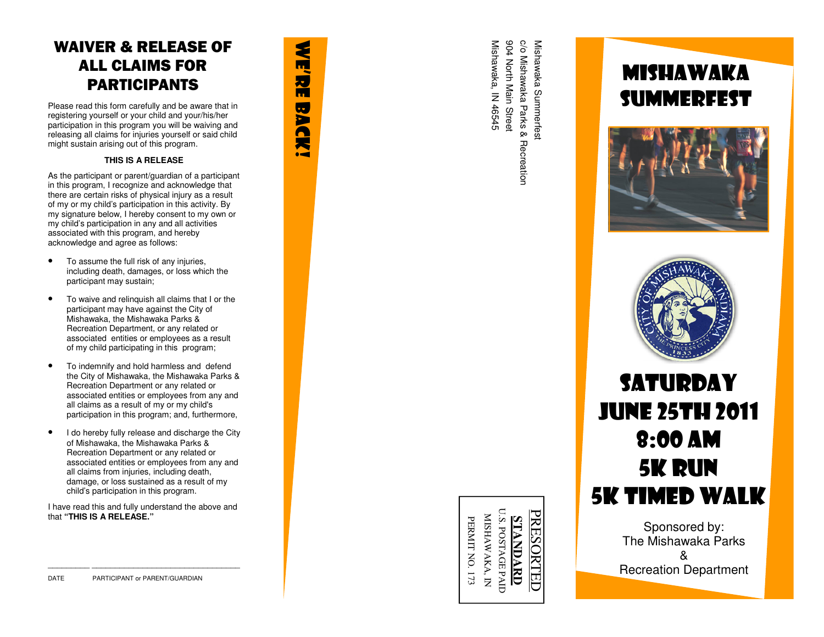### WAIVER & RELEASE OF ALL CLAIMS FOR PARTICIPANTS

Please read this form carefully and be aware that in registering yourself or your child and your/his/her participation in this program you will be waiving and releasing all claims for injuries yourself or said child might sustain arising out of this program.

**WE'RE BACK!** 

**BAC** 

莴 ò-

3

H, Ħ

#### **THIS IS A RELEASE**

As the participant or parent/guardian of a participant in this program, I recognize and acknowledge that there are certain risks of physical injury as a result of my or my child's participation in this activity. By my signature below, I hereby consent to my own or my child's participation in any and all activities associated with this program, and hereby acknowledge and agree as follows:

- To assume the full risk of any injuries, including death, damages, or loss which the participant may sustain;
- To waive and relinquish all claims that I or the participant may have against the City of Mishawaka, the Mishawaka Parks & Recreation Department, or any related or associated entities or employees as a result of my child participating in this program;
- To indemnify and hold harmless and defend the City of Mishawaka, the Mishawaka Parks & Recreation Department or any related or associated entities or employees from any and all claims as a result of my or my child's participation in this program; and, furthermore,
- I do hereby fully release and discharge the City of Mishawaka, the Mishawaka Parks & Recreation Department or any related or associated entities or employees from any and all claims from injuries, including death, damage, or loss sustained as a result of my child's participation in this program.

I have read this and fully understand the above andthat **"THIS IS A RELEASE."**

904 North Main Street Mishawaka, IN 46545 904 North Main Street c/o Mishawaka Parks & Recreatior c/o Mishawaka Parks & Recreation Mishawaka Summerfest Mishawaka, IN 46545 Mishawaka Summerfesi

#### U.S. POSTAGE PAID U.S. POSTAGE PAID **PRESORTED** PRESORTED MISHAWAKA, IN MISHAWAKA, IN **STANDARD STANDARD**

PERMIT NO. 173

PERMIT NO. 173

## MISHAWAKA SUMMERFEST





## **SATURDAY** June 25th 2011 8:00 am 5K RUN 5K Timed WALK

Sponsored by: The Mishawaka Parks & Recreation Department